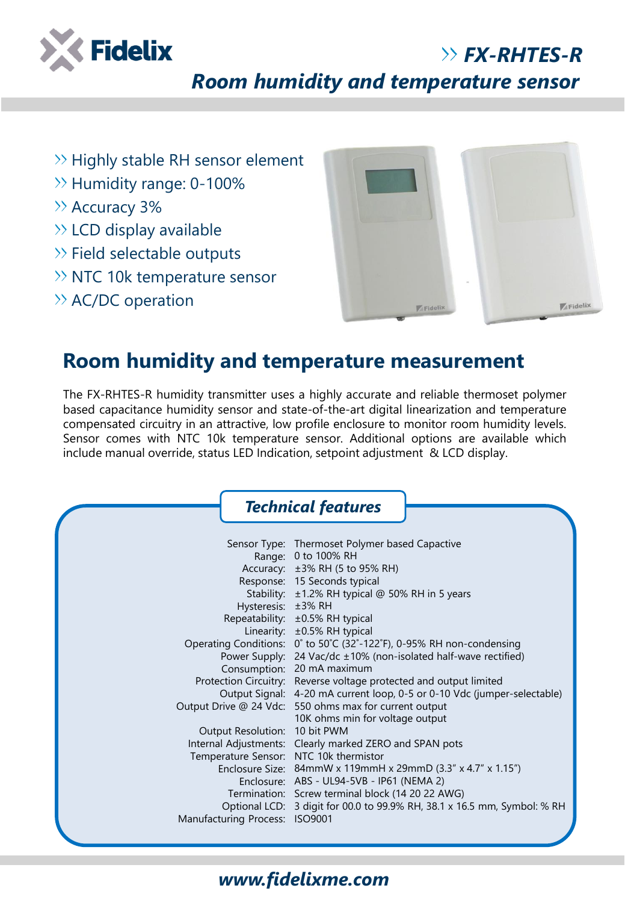

### *FX-RHTES-R*

*Room humidity and temperature sensor*

- $\gg$  Highly stable RH sensor element
- >> Humidity range: 0-100%
- >> Accuracy 3%
- $\gg$  LCD display available
- $\gg$  Field selectable outputs
- $\gg$  NTC 10k temperature sensor
- $\rightarrow$  AC/DC operation



# **Room humidity and temperature measurement**

The FX-RHTES-R humidity transmitter uses a highly accurate and reliable thermoset polymer based capacitance humidity sensor and state-of-the-art digital linearization and temperature compensated circuitry in an attractive, low profile enclosure to monitor room humidity levels. Sensor comes with NTC 10k temperature sensor. Additional options are available which include manual override, status LED Indication, setpoint adjustment & LCD display.

|                                                                                                           | <b>Technical features</b>                                                                                                                                                                                                                                                                                                                                                                                             |
|-----------------------------------------------------------------------------------------------------------|-----------------------------------------------------------------------------------------------------------------------------------------------------------------------------------------------------------------------------------------------------------------------------------------------------------------------------------------------------------------------------------------------------------------------|
| Hysteresis: ±3% RH                                                                                        | Sensor Type: Thermoset Polymer based Capactive<br>Range: 0 to 100% RH<br>Accuracy: ±3% RH (5 to 95% RH)<br>Response: 15 Seconds typical<br>Stability: ±1.2% RH typical @ 50% RH in 5 years<br>Repeatability: ±0.5% RH typical<br>Linearity: ±0.5% RH typical                                                                                                                                                          |
|                                                                                                           | Operating Conditions: 0° to 50°C (32°-122°F), 0-95% RH non-condensing<br>Power Supply: 24 Vac/dc ±10% (non-isolated half-wave rectified)<br>Consumption: 20 mA maximum<br>Protection Circuitry: Reverse voltage protected and output limited<br>Output Signal: 4-20 mA current loop, 0-5 or 0-10 Vdc (jumper-selectable)<br>Output Drive @ 24 Vdc: 550 ohms max for current output<br>10K ohms min for voltage output |
| Output Resolution: 10 bit PWM<br>Temperature Sensor: NTC 10k thermistor<br>Manufacturing Process: ISO9001 | Internal Adjustments: Clearly marked ZERO and SPAN pots<br>Enclosure Size: 84mmW x 119mmH x 29mmD (3.3" x 4.7" x 1.15")<br>Enclosure: ABS - UL94-5VB - IP61 (NEMA 2)<br>Termination: Screw terminal block (14 20 22 AWG)<br>Optional LCD: 3 digit for 00.0 to 99.9% RH, 38.1 x 16.5 mm, Symbol: % RH                                                                                                                  |

### *www.fidelixme.com*